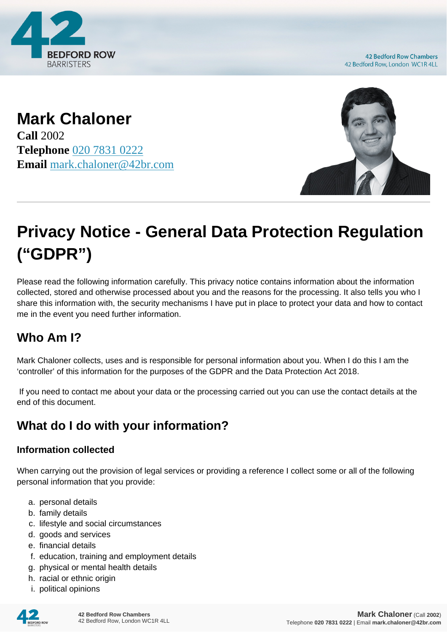

**42 Bedford Row Chambers** 42 Bedford Row, London WC1R 4LL

**Mark Chaloner Call** 2002 **Telephone** [020 7831 0222](https://pdf.codeshore.co/_42br/tel:020 7831 0222) **Email** [mark.chaloner@42br.com](mailto:mark.chaloner@42br.com)



# **Privacy Notice - General Data Protection Regulation ("GDPR")**

Please read the following information carefully. This privacy notice contains information about the information collected, stored and otherwise processed about you and the reasons for the processing. It also tells you who I share this information with, the security mechanisms I have put in place to protect your data and how to contact me in the event you need further information.

# **Who Am I?**

Mark Chaloner collects, uses and is responsible for personal information about you. When I do this I am the 'controller' of this information for the purposes of the GDPR and the Data Protection Act 2018.

 If you need to contact me about your data or the processing carried out you can use the contact details at the end of this document.

# **What do I do with your information?**

#### **Information collected**

When carrying out the provision of legal services or providing a reference I collect some or all of the following personal information that you provide:

- a. personal details
- b. family details
- c. lifestyle and social circumstances
- d. goods and services
- e. financial details
- f. education, training and employment details
- g. physical or mental health details
- h. racial or ethnic origin
- i. political opinions

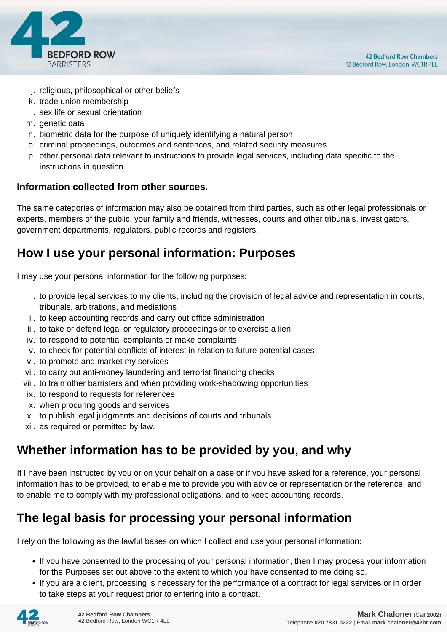

- j. religious, philosophical or other beliefs
- k. trade union membership
- l. sex life or sexual orientation
- m. genetic data
- n. biometric data for the purpose of uniquely identifying a natural person
- o. criminal proceedings, outcomes and sentences, and related security measures
- p. other personal data relevant to instructions to provide legal services, including data specific to the instructions in question.

#### **Information collected from other sources.**

The same categories of information may also be obtained from third parties, such as other legal professionals or experts, members of the public, your family and friends, witnesses, courts and other tribunals, investigators, government departments, regulators, public records and registers,

#### **How I use your personal information: Purposes**

I may use your personal information for the following purposes:

- i. to provide legal services to my clients, including the provision of legal advice and representation in courts, tribunals, arbitrations, and mediations
- ii. to keep accounting records and carry out office administration
- iii. to take or defend legal or regulatory proceedings or to exercise a lien
- iv. to respond to potential complaints or make complaints
- v. to check for potential conflicts of interest in relation to future potential cases
- vi. to promote and market my services
- vii. to carry out anti-money laundering and terrorist financing checks
- viii. to train other barristers and when providing work-shadowing opportunities
- ix. to respond to requests for references
- x. when procuring goods and services
- xi. to publish legal judgments and decisions of courts and tribunals
- xii. as required or permitted by law.

## **Whether information has to be provided by you, and why**

If I have been instructed by you or on your behalf on a case or if you have asked for a reference, your personal information has to be provided, to enable me to provide you with advice or representation or the reference, and to enable me to comply with my professional obligations, and to keep accounting records.

## **The legal basis for processing your personal information**

I rely on the following as the lawful bases on which I collect and use your personal information:

- If you have consented to the processing of your personal information, then I may process your information for the Purposes set out above to the extent to which you have consented to me doing so.
- If you are a client, processing is necessary for the performance of a contract for legal services or in order to take steps at your request prior to entering into a contract.

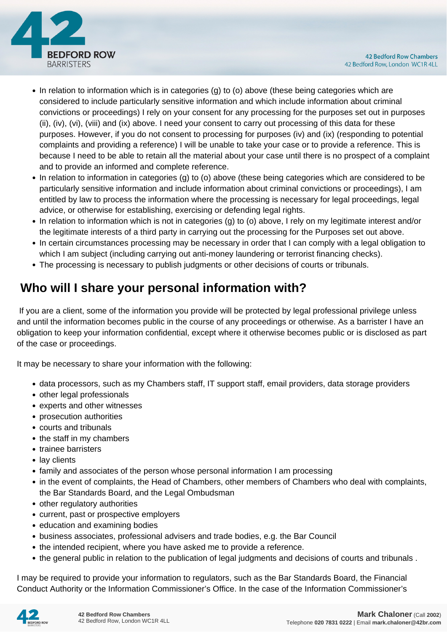

- In relation to information which is in categories (g) to (o) above (these being categories which are considered to include particularly sensitive information and which include information about criminal convictions or proceedings) I rely on your consent for any processing for the purposes set out in purposes (ii), (iv), (vi), (viii) and (ix) above. I need your consent to carry out processing of this data for these purposes. However, if you do not consent to processing for purposes (iv) and (ix) (responding to potential complaints and providing a reference) I will be unable to take your case or to provide a reference. This is because I need to be able to retain all the material about your case until there is no prospect of a complaint and to provide an informed and complete reference.
- In relation to information in categories (g) to (o) above (these being categories which are considered to be particularly sensitive information and include information about criminal convictions or proceedings), I am entitled by law to process the information where the processing is necessary for legal proceedings, legal advice, or otherwise for establishing, exercising or defending legal rights.
- In relation to information which is not in categories (g) to (o) above, I rely on my legitimate interest and/or the legitimate interests of a third party in carrying out the processing for the Purposes set out above.
- In certain circumstances processing may be necessary in order that I can comply with a legal obligation to which I am subject (including carrying out anti-money laundering or terrorist financing checks).
- The processing is necessary to publish judgments or other decisions of courts or tribunals.

# **Who will I share your personal information with?**

 If you are a client, some of the information you provide will be protected by legal professional privilege unless and until the information becomes public in the course of any proceedings or otherwise. As a barrister I have an obligation to keep your information confidential, except where it otherwise becomes public or is disclosed as part of the case or proceedings.

It may be necessary to share your information with the following:

- data processors, such as my Chambers staff, IT support staff, email providers, data storage providers
- other legal professionals
- experts and other witnesses
- prosecution authorities
- courts and tribunals
- the staff in my chambers
- trainee barristers
- lay clients
- family and associates of the person whose personal information I am processing
- in the event of complaints, the Head of Chambers, other members of Chambers who deal with complaints, the Bar Standards Board, and the Legal Ombudsman
- other regulatory authorities
- current, past or prospective employers
- education and examining bodies
- business associates, professional advisers and trade bodies, e.g. the Bar Council
- the intended recipient, where you have asked me to provide a reference.
- the general public in relation to the publication of legal judgments and decisions of courts and tribunals .

I may be required to provide your information to regulators, such as the Bar Standards Board, the Financial Conduct Authority or the Information Commissioner's Office. In the case of the Information Commissioner's

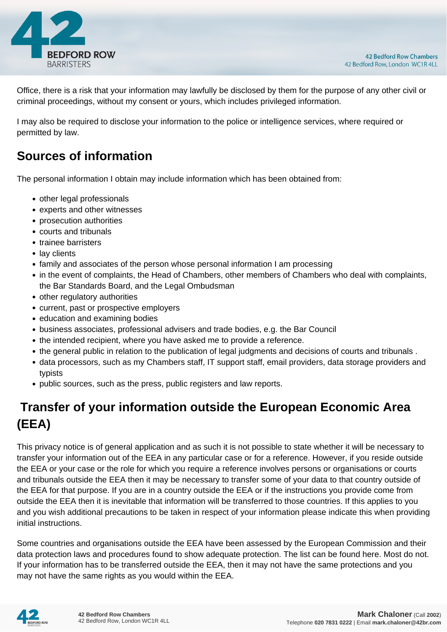

Office, there is a risk that your information may lawfully be disclosed by them for the purpose of any other civil or criminal proceedings, without my consent or yours, which includes privileged information.

I may also be required to disclose your information to the police or intelligence services, where required or permitted by law.

## **Sources of information**

The personal information I obtain may include information which has been obtained from:

- other legal professionals
- experts and other witnesses
- prosecution authorities
- courts and tribunals
- trainee barristers
- lay clients
- family and associates of the person whose personal information I am processing
- in the event of complaints, the Head of Chambers, other members of Chambers who deal with complaints, the Bar Standards Board, and the Legal Ombudsman
- other regulatory authorities
- current, past or prospective employers
- education and examining bodies
- business associates, professional advisers and trade bodies, e.g. the Bar Council
- the intended recipient, where you have asked me to provide a reference.
- the general public in relation to the publication of legal judgments and decisions of courts and tribunals .
- data processors, such as my Chambers staff, IT support staff, email providers, data storage providers and typists
- public sources, such as the press, public registers and law reports.

# **Transfer of your information outside the European Economic Area (EEA)**

This privacy notice is of general application and as such it is not possible to state whether it will be necessary to transfer your information out of the EEA in any particular case or for a reference. However, if you reside outside the EEA or your case or the role for which you require a reference involves persons or organisations or courts and tribunals outside the EEA then it may be necessary to transfer some of your data to that country outside of the EEA for that purpose. If you are in a country outside the EEA or if the instructions you provide come from outside the EEA then it is inevitable that information will be transferred to those countries. If this applies to you and you wish additional precautions to be taken in respect of your information please indicate this when providing initial instructions.

Some countries and organisations outside the EEA have been assessed by the European Commission and their data protection laws and procedures found to show adequate protection. The list can be found here. Most do not. If your information has to be transferred outside the EEA, then it may not have the same protections and you may not have the same rights as you would within the EEA.

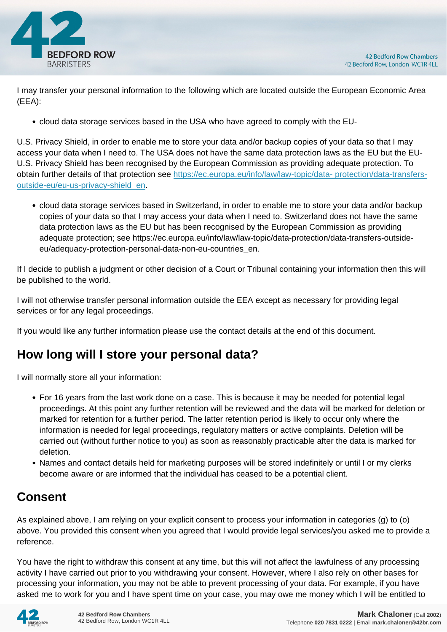

I may transfer your personal information to the following which are located outside the European Economic Area (EEA):

cloud data storage services based in the USA who have agreed to comply with the EU-

U.S. Privacy Shield, in order to enable me to store your data and/or backup copies of your data so that I may access your data when I need to. The USA does not have the same data protection laws as the EU but the EU-U.S. Privacy Shield has been recognised by the European Commission as providing adequate protection. To obtain further details of that protection see [https://ec.europa.eu/info/law/law-topic/data- protection/data-transfers](https://ec.europa.eu/info/law/law-topic/data- protection/data-transfers-outside-eu/eu-us-privacy-shield_en)[outside-eu/eu-us-privacy-shield\\_en.](https://ec.europa.eu/info/law/law-topic/data- protection/data-transfers-outside-eu/eu-us-privacy-shield_en)

cloud data storage services based in Switzerland, in order to enable me to store your data and/or backup copies of your data so that I may access your data when I need to. Switzerland does not have the same data protection laws as the EU but has been recognised by the European Commission as providing adequate protection; see https://ec.europa.eu/info/law/law-topic/data-protection/data-transfers-outsideeu/adequacy-protection-personal-data-non-eu-countries\_en.

If I decide to publish a judgment or other decision of a Court or Tribunal containing your information then this will be published to the world.

I will not otherwise transfer personal information outside the EEA except as necessary for providing legal services or for any legal proceedings.

If you would like any further information please use the contact details at the end of this document.

## **How long will I store your personal data?**

I will normally store all your information:

- For 16 years from the last work done on a case. This is because it may be needed for potential legal proceedings. At this point any further retention will be reviewed and the data will be marked for deletion or marked for retention for a further period. The latter retention period is likely to occur only where the information is needed for legal proceedings, regulatory matters or active complaints. Deletion will be carried out (without further notice to you) as soon as reasonably practicable after the data is marked for deletion.
- Names and contact details held for marketing purposes will be stored indefinitely or until I or my clerks become aware or are informed that the individual has ceased to be a potential client.

# **Consent**

As explained above, I am relying on your explicit consent to process your information in categories (g) to (o) above. You provided this consent when you agreed that I would provide legal services/you asked me to provide a reference.

You have the right to withdraw this consent at any time, but this will not affect the lawfulness of any processing activity I have carried out prior to you withdrawing your consent. However, where I also rely on other bases for processing your information, you may not be able to prevent processing of your data. For example, if you have asked me to work for you and I have spent time on your case, you may owe me money which I will be entitled to

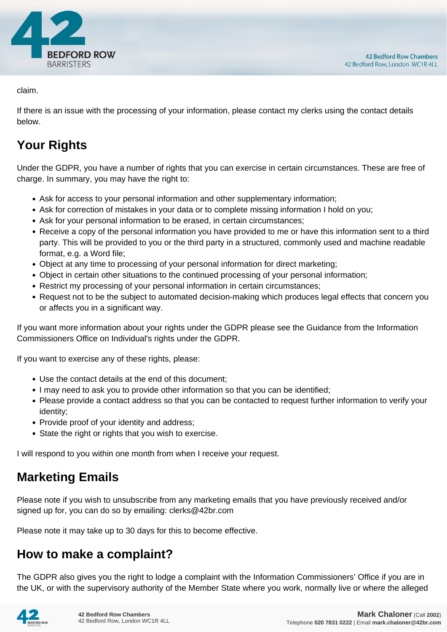

claim.

If there is an issue with the processing of your information, please contact my clerks using the contact details below.

# **Your Rights**

Under the GDPR, you have a number of rights that you can exercise in certain circumstances. These are free of charge. In summary, you may have the right to:

- Ask for access to your personal information and other supplementary information;
- Ask for correction of mistakes in your data or to complete missing information I hold on you;
- Ask for your personal information to be erased, in certain circumstances;
- Receive a copy of the personal information you have provided to me or have this information sent to a third party. This will be provided to you or the third party in a structured, commonly used and machine readable format, e.g. a Word file;
- Object at any time to processing of your personal information for direct marketing;
- Object in certain other situations to the continued processing of your personal information;
- Restrict my processing of your personal information in certain circumstances;
- Request not to be the subject to automated decision-making which produces legal effects that concern you or affects you in a significant way.

If you want more information about your rights under the GDPR please see the Guidance from the Information Commissioners Office on Individual's rights under the GDPR.

If you want to exercise any of these rights, please:

- Use the contact details at the end of this document;
- I may need to ask you to provide other information so that you can be identified;
- Please provide a contact address so that you can be contacted to request further information to verify your identity;
- Provide proof of your identity and address;
- State the right or rights that you wish to exercise.

I will respond to you within one month from when I receive your request.

## **Marketing Emails**

Please note if you wish to unsubscribe from any marketing emails that you have previously received and/or signed up for, you can do so by emailing: clerks@42br.com

Please note it may take up to 30 days for this to become effective.

## **How to make a complaint?**

The GDPR also gives you the right to lodge a complaint with the Information Commissioners' Office if you are in the UK, or with the supervisory authority of the Member State where you work, normally live or where the alleged